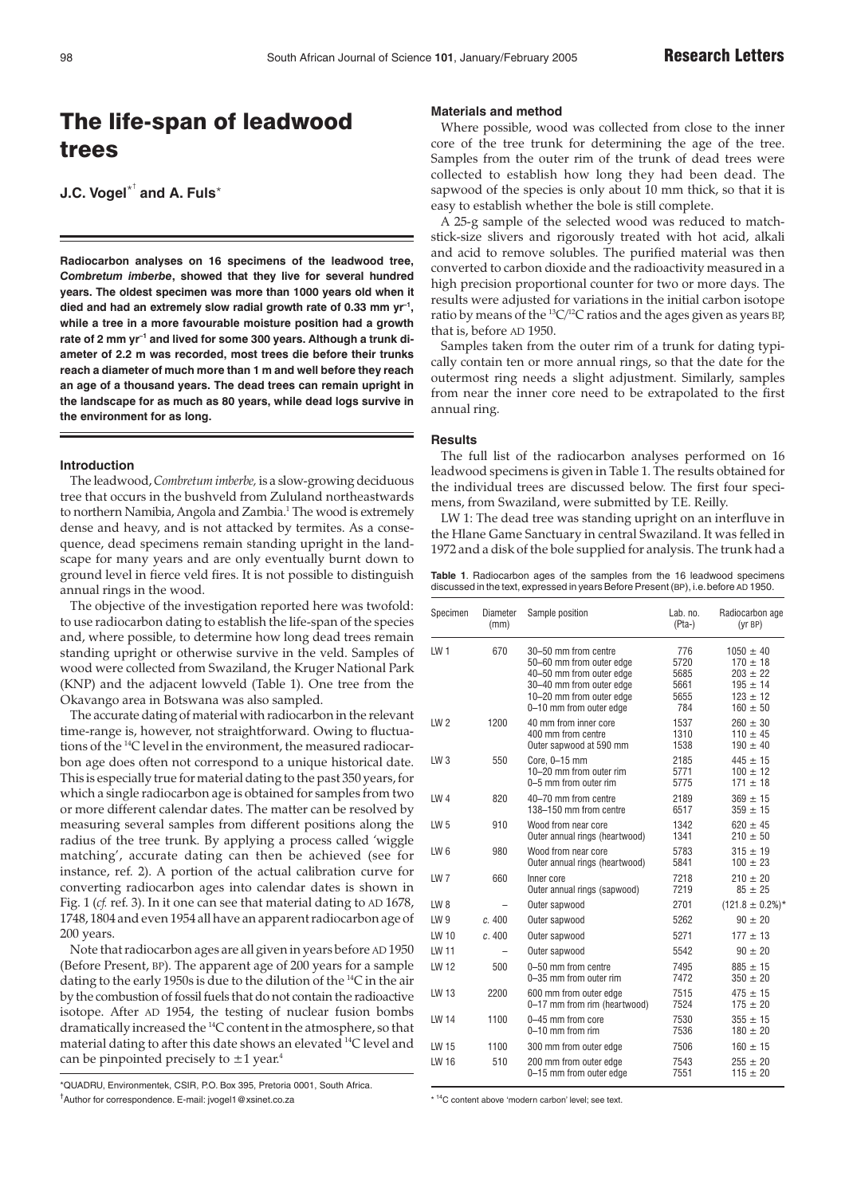# The life-span of leadwood trees

**J.C. Vogel**\* † **and A. Fuls**\*

**Radiocarbon analyses on 16 specimens of the leadwood tree,** *Combretum imberbe***, showed that they live for several hundred years. The oldest specimen was more than 1000 years old when it died and had an extremely slow radial growth rate of 0.33 mm yr–1, while a tree in a more favourable moisture position had a growth** rate of 2 mm yr<sup>-1</sup> and lived for some 300 years. Although a trunk di**ameter of 2.2 m was recorded, most trees die before their trunks reach a diameter of much more than 1 m and well before they reach an age of a thousand years. The dead trees can remain upright in the landscape for as much as 80 years, while dead logs survive in the environment for as long.**

#### **Introduction**

The leadwood, *Combretum imberbe,* is a slow-growing deciduous tree that occurs in the bushveld from Zululand northeastwards to northern Namibia, Angola and Zambia.<sup>1</sup> The wood is extremely dense and heavy, and is not attacked by termites. As a consequence, dead specimens remain standing upright in the landscape for many years and are only eventually burnt down to ground level in fierce veld fires. It is not possible to distinguish annual rings in the wood.

The objective of the investigation reported here was twofold: to use radiocarbon dating to establish the life-span of the species and, where possible, to determine how long dead trees remain standing upright or otherwise survive in the veld. Samples of wood were collected from Swaziland, the Kruger National Park (KNP) and the adjacent lowveld (Table 1). One tree from the Okavango area in Botswana was also sampled.

The accurate dating of material with radiocarbon in the relevant time-range is, however, not straightforward. Owing to fluctuations of the 14C level in the environment, the measured radiocarbon age does often not correspond to a unique historical date. This is especially true for material dating to the past 350 years, for which a single radiocarbon age is obtained for samples from two or more different calendar dates. The matter can be resolved by measuring several samples from different positions along the radius of the tree trunk. By applying a process called 'wiggle matching', accurate dating can then be achieved (see for instance, ref. 2). A portion of the actual calibration curve for converting radiocarbon ages into calendar dates is shown in Fig. 1 (*cf.* ref. 3). In it one can see that material dating to AD 1678, 1748, 1804 and even 1954 all have an apparent radiocarbon age of 200 years.

Note that radiocarbon ages are all given in years before AD 1950 (Before Present, BP). The apparent age of 200 years for a sample dating to the early 1950s is due to the dilution of the 14C in the air by the combustion of fossil fuels that do not contain the radioactive isotope. After AD 1954, the testing of nuclear fusion bombs dramatically increased the 14C content in the atmosphere, so that material dating to after this date shows an elevated 14C level and can be pinpointed precisely to  $\pm 1$  year.<sup>4</sup>

\*QUADRU, Environmentek, CSIR, P.O. Box 395, Pretoria 0001, South Africa. † Author for correspondence. E-mail: jvogel1@xsinet.co.za

## **Materials and method**

Where possible, wood was collected from close to the inner core of the tree trunk for determining the age of the tree. Samples from the outer rim of the trunk of dead trees were collected to establish how long they had been dead. The sapwood of the species is only about 10 mm thick, so that it is easy to establish whether the bole is still complete.

A 25-g sample of the selected wood was reduced to matchstick-size slivers and rigorously treated with hot acid, alkali and acid to remove solubles. The purified material was then converted to carbon dioxide and the radioactivity measured in a high precision proportional counter for two or more days. The results were adjusted for variations in the initial carbon isotope ratio by means of the  ${}^{13}C/{}^{12}C$  ratios and the ages given as years BP, that is, before AD 1950.

Samples taken from the outer rim of a trunk for dating typically contain ten or more annual rings, so that the date for the outermost ring needs a slight adjustment. Similarly, samples from near the inner core need to be extrapolated to the first annual ring.

#### **Results**

The full list of the radiocarbon analyses performed on 16 leadwood specimens is given in Table 1. The results obtained for the individual trees are discussed below. The first four specimens, from Swaziland, were submitted by T.E. Reilly.

LW 1: The dead tree was standing upright on an interfluve in the Hlane Game Sanctuary in central Swaziland. It was felled in 1972 and a disk of the bole supplied for analysis. The trunk had a

**Table 1**. Radiocarbon ages of the samples from the 16 leadwood specimens discussed in the text, expressed in years Before Present (BP), i.e.before AD 1950.

| Specimen        | <b>Diameter</b><br>(mm) | Sample position                                                                                                                                                 | Lab. no.<br>$(Pta-)$                       | Radiocarbon age<br>(yrBP)                                                                     |
|-----------------|-------------------------|-----------------------------------------------------------------------------------------------------------------------------------------------------------------|--------------------------------------------|-----------------------------------------------------------------------------------------------|
| LW <sub>1</sub> | 670                     | 30-50 mm from centre<br>50-60 mm from outer edge<br>40-50 mm from outer edge<br>30-40 mm from outer edge<br>10-20 mm from outer edge<br>0-10 mm from outer edge | 776<br>5720<br>5685<br>5661<br>5655<br>784 | $1050 \pm 40$<br>$170 \pm 18$<br>$203 \pm 22$<br>$195 \pm 14$<br>$123 \pm 12$<br>$160 \pm 50$ |
| LW <sub>2</sub> | 1200                    | 40 mm from inner core<br>400 mm from centre<br>Outer sapwood at 590 mm                                                                                          | 1537<br>1310<br>1538                       | $260 \pm 30$<br>$110 \pm 45$<br>$190 \pm 40$                                                  |
| LW <sub>3</sub> | 550                     | Core, $0-15$ mm<br>10-20 mm from outer rim<br>0-5 mm from outer rim                                                                                             | 2185<br>5771<br>5775                       | $445 \pm 15$<br>$100 \pm 12$<br>$171 \pm 18$                                                  |
| LW <sub>4</sub> | 820                     | 40-70 mm from centre<br>138-150 mm from centre                                                                                                                  | 2189<br>6517                               | $369 \pm 15$<br>$359 \pm 15$                                                                  |
| LW <sub>5</sub> | 910                     | Wood from near core<br>Outer annual rings (heartwood)                                                                                                           | 1342<br>1341                               | $620 \pm 45$<br>$210 \pm 50$                                                                  |
| LW <sub>6</sub> | 980                     | Wood from near core<br>Outer annual rings (heartwood)                                                                                                           | 5783<br>5841                               | $315 \pm 19$<br>$100 \pm 23$                                                                  |
| LW <sub>7</sub> | 660                     | Inner core<br>Outer annual rings (sapwood)                                                                                                                      | 7218<br>7219                               | $210 \pm 20$<br>$85 \pm 25$                                                                   |
| LW8             |                         | Outer sapwood                                                                                                                                                   | 2701                                       | $(121.8 \pm 0.2\%)*$                                                                          |
| LW <sub>9</sub> | c. 400                  | Outer sapwood                                                                                                                                                   | 5262                                       | $90 \pm 20$                                                                                   |
| LW 10           | c.400                   | Outer sapwood                                                                                                                                                   | 5271                                       | $177 \pm 13$                                                                                  |
| LW 11           |                         | Outer sapwood                                                                                                                                                   | 5542                                       | $90 \pm 20$                                                                                   |
| LW 12           | 500                     | 0-50 mm from centre<br>0-35 mm from outer rim                                                                                                                   | 7495<br>7472                               | $885 \pm 15$<br>$350 \pm 20$                                                                  |
| LW 13           | 2200                    | 600 mm from outer edge<br>0-17 mm from rim (heartwood)                                                                                                          | 7515<br>7524                               | $475 \pm 15$<br>$175 \pm 20$                                                                  |
| LW 14           | 1100                    | 0-45 mm from core<br>$0-10$ mm from rim                                                                                                                         | 7530<br>7536                               | $355 \pm 15$<br>$180 \pm 20$                                                                  |
| LW 15           | 1100                    | 300 mm from outer edge                                                                                                                                          | 7506                                       | $160 \pm 15$                                                                                  |
| LW 16           | 510                     | 200 mm from outer edge<br>0-15 mm from outer edge                                                                                                               | 7543<br>7551                               | $255 \pm 20$<br>$115 \pm 20$                                                                  |

\* <sup>14</sup>C content above 'modern carbon' level; see text.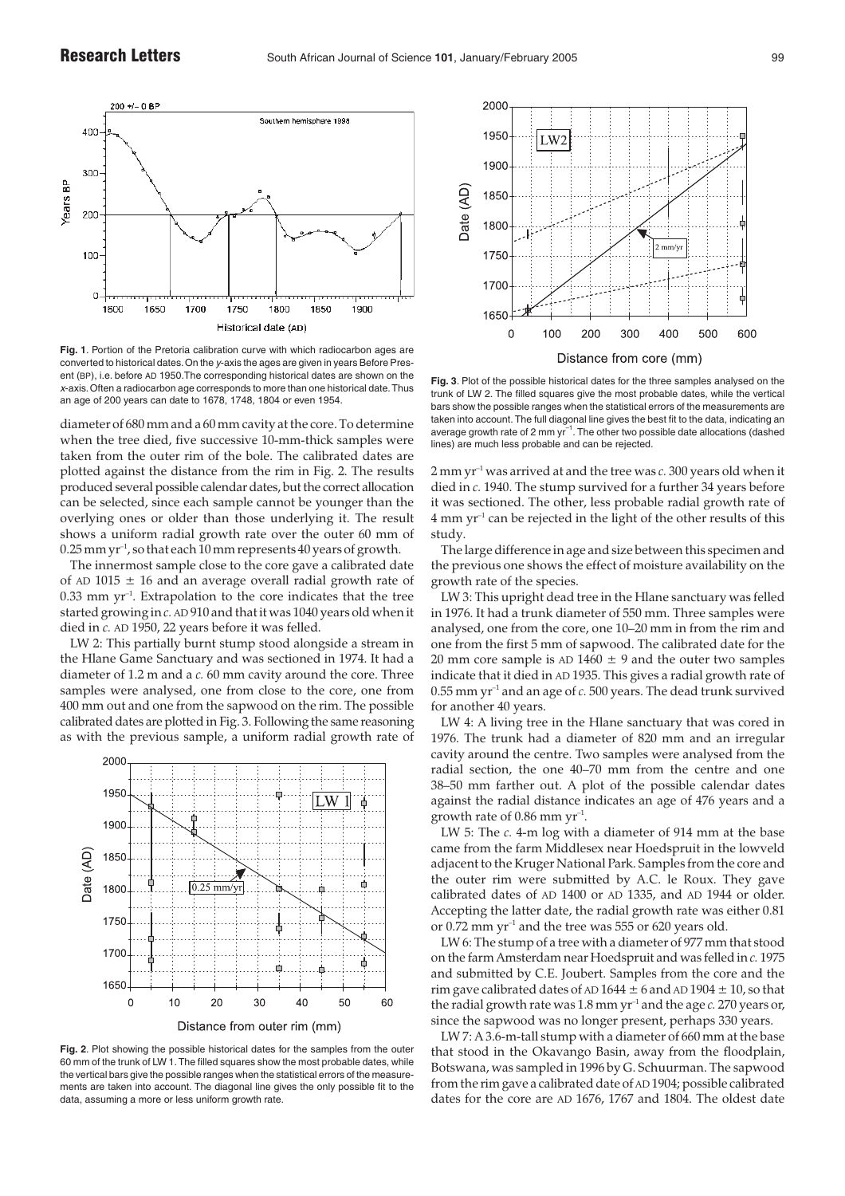

**Fig. 1**. Portion of the Pretoria calibration curve with which radiocarbon ages are converted to historical dates.On the y-axis the ages are given in years Before Present (BP), i.e. before AD 1950.The corresponding historical dates are shown on the <sup>x</sup>-axis.Often a radiocarbon age corresponds to more than one historical date.Thus an age of 200 years can date to 1678, 1748, 1804 or even 1954.

diameter of 680 mm and a 60 mm cavity at the core. To determine when the tree died, five successive 10-mm-thick samples were taken from the outer rim of the bole. The calibrated dates are plotted against the distance from the rim in Fig. 2. The results produced several possible calendar dates, but the correct allocation can be selected, since each sample cannot be younger than the overlying ones or older than those underlying it. The result shows a uniform radial growth rate over the outer 60 mm of  $0.25$  mm yr<sup>-1</sup>, so that each 10 mm represents 40 years of growth.

The innermost sample close to the core gave a calibrated date of AD 1015  $\pm$  16 and an average overall radial growth rate of 0.33 mm yr–1. Extrapolation to the core indicates that the tree started growing in *c.* AD 910 and that it was 1040 years old when it died in *c.* AD 1950, 22 years before it was felled.

LW 2: This partially burnt stump stood alongside a stream in the Hlane Game Sanctuary and was sectioned in 1974. It had a diameter of 1.2 m and a *c.* 60 mm cavity around the core. Three samples were analysed, one from close to the core, one from 400 mm out and one from the sapwood on the rim. The possible calibrated dates are plotted in Fig. 3. Following the same reasoning as with the previous sample, a uniform radial growth rate of



**Fig. 2**. Plot showing the possible historical dates for the samples from the outer  $60$  mm of the trunk of LW 1. The filled squares show the most probable dates, while the vertical bars give the possible ranges when the statistical errors of the measurements are taken into account. The diagonal line gives the only possible fit to the data, assuming a more or less uniform growth rate.



**Fig. 3**. Plot of the possible historical dates for the three samples analysed on the trunk of LW 2. The filled squares give the most probable dates, while the vertical bars show the possible ranges when the statistical errors of the measurements are taken into account. The full diagonal line gives the best fit to the data, indicating an average growth rate of 2 mm  $yr^{-1}$ . The other two possible date allocations (dashed lines) are much less probable and can be rejected.

2 mm yr–1 was arrived at and the tree was *c.* 300 years old when it died in *c.* 1940. The stump survived for a further 34 years before it was sectioned. The other, less probable radial growth rate of  $4 \text{ mm yr}^{-1}$  can be rejected in the light of the other results of this study.

The large difference in age and size between this specimen and the previous one shows the effect of moisture availability on the growth rate of the species.

LW 3: This upright dead tree in the Hlane sanctuary was felled in 1976. It had a trunk diameter of 550 mm. Three samples were analysed, one from the core, one 10–20 mm in from the rim and one from the first 5 mm of sapwood. The calibrated date for the 20 mm core sample is  $AD 1460 \pm 9$  and the outer two samples indicate that it died in AD 1935. This gives a radial growth rate of 0.55 mm yr–1 and an age of *c.* 500 years. The dead trunk survived for another 40 years.

LW 4: A living tree in the Hlane sanctuary that was cored in 1976. The trunk had a diameter of 820 mm and an irregular cavity around the centre. Two samples were analysed from the radial section, the one 40–70 mm from the centre and one 38–50 mm farther out. A plot of the possible calendar dates against the radial distance indicates an age of 476 years and a growth rate of  $0.86$  mm yr<sup>-1</sup>.

LW 5: The *c.* 4-m log with a diameter of 914 mm at the base came from the farm Middlesex near Hoedspruit in the lowveld adjacent to the Kruger National Park. Samples from the core and the outer rim were submitted by A.C. le Roux. They gave calibrated dates of AD 1400 or AD 1335, and AD 1944 or older. Accepting the latter date, the radial growth rate was either 0.81 or  $0.72$  mm yr<sup>-1</sup> and the tree was 555 or 620 years old.

LW 6: The stump of a tree with a diameter of 977 mm that stood on the farm Amsterdam near Hoedspruit and was felled in *c.* 1975 and submitted by C.E. Joubert. Samples from the core and the rim gave calibrated dates of AD 1644  $\pm$  6 and AD 1904  $\pm$  10, so that the radial growth rate was  $1.8$  mm  $yr^{-1}$  and the age  $c$ . 270 years or, since the sapwood was no longer present, perhaps 330 years.

LW 7: A 3.6-m-tall stump with a diameter of 660 mm at the base that stood in the Okavango Basin, away from the floodplain, Botswana, was sampled in 1996 by G. Schuurman. The sapwood from the rim gave a calibrated date of AD 1904; possible calibrated dates for the core are AD 1676, 1767 and 1804. The oldest date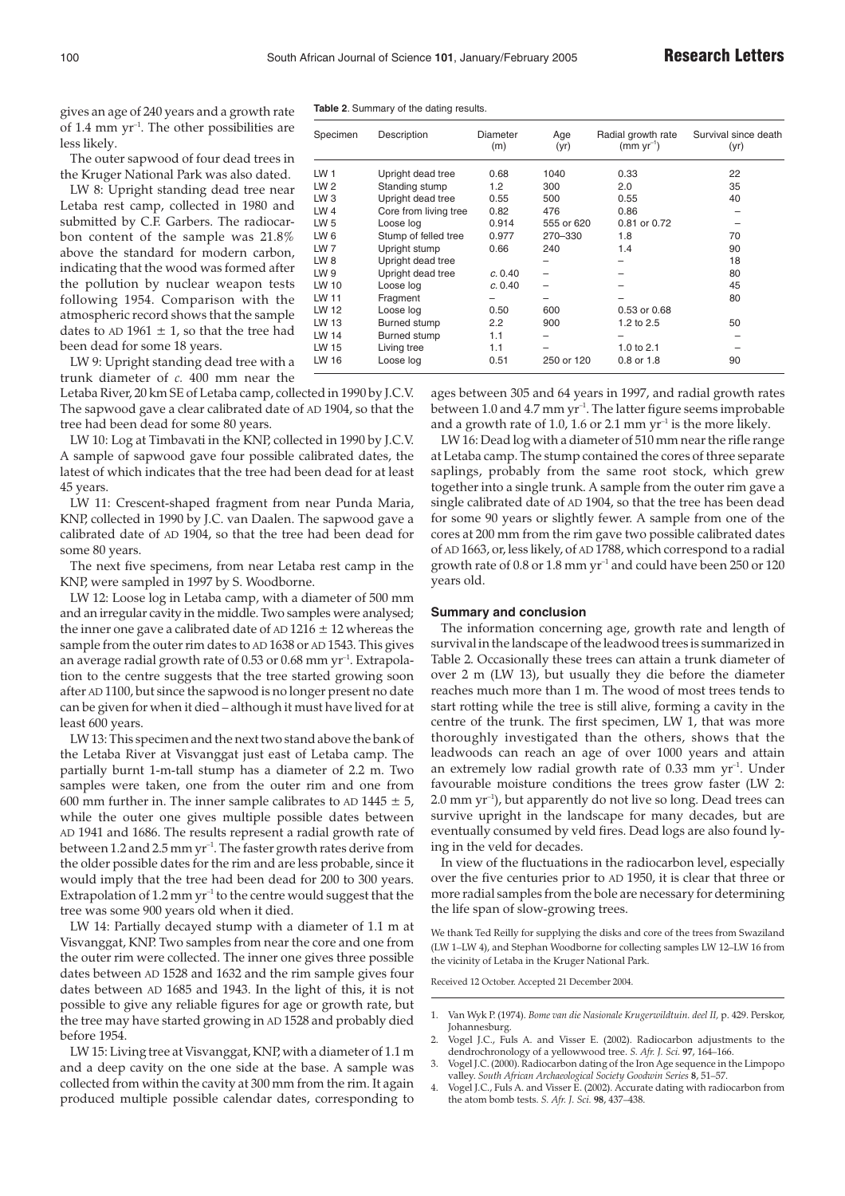gives an age of 240 years and a growth rate of 1.4 mm  $yr^{-1}$ . The other possibilities are less likely.

The outer sapwood of four dead trees in the Kruger National Park was also dated.

LW 8: Upright standing dead tree near Letaba rest camp, collected in 1980 and submitted by C.F. Garbers. The radiocarbon content of the sample was 21.8% above the standard for modern carbon, indicating that the wood was formed after the pollution by nuclear weapon tests following 1954. Comparison with the atmospheric record shows that the sample dates to AD 1961  $\pm$  1, so that the tree had been dead for some 18 years.

LW 9: Upright standing dead tree with a trunk diameter of *c.* 400 mm near the

Letaba River, 20 km SE of Letaba camp, collected in 1990 by J.C.V. The sapwood gave a clear calibrated date of AD 1904, so that the tree had been dead for some 80 years.

LW 10: Log at Timbavati in the KNP, collected in 1990 by J.C.V. A sample of sapwood gave four possible calibrated dates, the latest of which indicates that the tree had been dead for at least 45 years.

LW 11: Crescent-shaped fragment from near Punda Maria, KNP, collected in 1990 by J.C. van Daalen. The sapwood gave a calibrated date of AD 1904, so that the tree had been dead for some 80 years.

The next five specimens, from near Letaba rest camp in the KNP, were sampled in 1997 by S. Woodborne.

LW 12: Loose log in Letaba camp, with a diameter of 500 mm and an irregular cavity in the middle. Two samples were analysed; the inner one gave a calibrated date of AD 1216  $\pm$  12 whereas the sample from the outer rim dates to AD 1638 or AD 1543. This gives an average radial growth rate of 0.53 or 0.68 mm yr<sup>-1</sup>. Extrapolation to the centre suggests that the tree started growing soon after AD 1100, but since the sapwood is no longer present no date can be given for when it died – although it must have lived for at least 600 years.

LW 13: This specimen and the next two stand above the bank of the Letaba River at Visvanggat just east of Letaba camp. The partially burnt 1-m-tall stump has a diameter of 2.2 m. Two samples were taken, one from the outer rim and one from 600 mm further in. The inner sample calibrates to AD  $1445 \pm 5$ , while the outer one gives multiple possible dates between AD 1941 and 1686. The results represent a radial growth rate of between 1.2 and 2.5 mm  $yr^{-1}$ . The faster growth rates derive from the older possible dates for the rim and are less probable, since it would imply that the tree had been dead for 200 to 300 years. Extrapolation of  $1.2$  mm yr<sup>-1</sup> to the centre would suggest that the tree was some 900 years old when it died.

LW 14: Partially decayed stump with a diameter of 1.1 m at Visvanggat, KNP. Two samples from near the core and one from the outer rim were collected. The inner one gives three possible dates between AD 1528 and 1632 and the rim sample gives four dates between AD 1685 and 1943. In the light of this, it is not possible to give any reliable figures for age or growth rate, but the tree may have started growing in AD 1528 and probably died before 1954.

LW 15: Living tree at Visvanggat, KNP, with a diameter of 1.1 m and a deep cavity on the one side at the base. A sample was collected from within the cavity at 300 mm from the rim. It again produced multiple possible calendar dates, corresponding to

**Table 2**. Summary of the dating results.

| Specimen        | Description           | Diameter<br>(m) | Age<br>(yr) | Radial growth rate<br>$(mm yr^{-1})$ | Survival since death<br>(yr) |
|-----------------|-----------------------|-----------------|-------------|--------------------------------------|------------------------------|
| LW <sub>1</sub> | Upright dead tree     | 0.68            | 1040        | 0.33                                 | 22                           |
| LW <sub>2</sub> | Standing stump        | 1.2             | 300         | 2.0                                  | 35                           |
| LW 3            | Upright dead tree     | 0.55            | 500         | 0.55                                 | 40                           |
| LW 4            | Core from living tree | 0.82            | 476         | 0.86                                 | -                            |
| LW <sub>5</sub> | Loose log             | 0.914           | 555 or 620  | 0.81 or 0.72                         |                              |
| LW 6            | Stump of felled tree  | 0.977           | 270-330     | 1.8                                  | 70                           |
| LW 7            | Upright stump         | 0.66            | 240         | 1.4                                  | 90                           |
| LW <sub>8</sub> | Upright dead tree     |                 |             |                                      | 18                           |
| LW 9            | Upright dead tree     | c. 0.40         |             |                                      | 80                           |
| LW 10           | Loose log             | c. 0.40         |             |                                      | 45                           |
| LW 11           | Fragment              |                 |             |                                      | 80                           |
| LW 12           | Loose log             | 0.50            | 600         | 0.53 or 0.68                         |                              |
| LW 13           | Burned stump          | 2.2             | 900         | 1.2 to 2.5                           | 50                           |
| LW 14           | Burned stump          | 1.1             |             |                                      |                              |
| LW 15           | Living tree           | 1.1             |             | 1.0 to 2.1                           |                              |
| LW 16           | Loose log             | 0.51            | 250 or 120  | 0.8 or 1.8                           | 90                           |

ages between 305 and 64 years in 1997, and radial growth rates between 1.0 and 4.7 mm  $yr^{-1}$ . The latter figure seems improbable and a growth rate of 1.0, 1.6 or 2.1 mm  $\gamma r^{-1}$  is the more likely.

LW 16: Dead log with a diameter of 510 mm near the rifle range at Letaba camp. The stump contained the cores of three separate saplings, probably from the same root stock, which grew together into a single trunk. A sample from the outer rim gave a single calibrated date of AD 1904, so that the tree has been dead for some 90 years or slightly fewer. A sample from one of the cores at 200 mm from the rim gave two possible calibrated dates of AD 1663, or, less likely, of AD 1788, which correspond to a radial growth rate of  $0.8$  or  $1.8$  mm yr<sup>-1</sup> and could have been  $250$  or  $120$ years old.

### **Summary and conclusion**

The information concerning age, growth rate and length of survival in the landscape of the leadwood trees is summarized in Table 2. Occasionally these trees can attain a trunk diameter of over 2 m (LW 13), but usually they die before the diameter reaches much more than 1 m. The wood of most trees tends to start rotting while the tree is still alive, forming a cavity in the centre of the trunk. The first specimen, LW 1, that was more thoroughly investigated than the others, shows that the leadwoods can reach an age of over 1000 years and attain an extremely low radial growth rate of  $0.33$  mm yr<sup>-1</sup>. Under favourable moisture conditions the trees grow faster (LW 2: 2.0 mm yr–1), but apparently do not live so long. Dead trees can survive upright in the landscape for many decades, but are eventually consumed by veld fires. Dead logs are also found lying in the veld for decades.

In view of the fluctuations in the radiocarbon level, especially over the five centuries prior to AD 1950, it is clear that three or more radial samples from the bole are necessary for determining the life span of slow-growing trees.

We thank Ted Reilly for supplying the disks and core of the trees from Swaziland (LW 1–LW 4), and Stephan Woodborne for collecting samples LW 12–LW 16 from the vicinity of Letaba in the Kruger National Park.

Received 12 October. Accepted 21 December 2004.

- 1. Van Wyk P. (1974). *Bome van die Nasionale Krugerwildtuin. deel II,* p. 429. Perskor, Johannesburg.
- 2. Vogel J.C., Fuls A. and Visser E. (2002). Radiocarbon adjustments to the dendrochronology of a yellowwood tree. *S. Afr. J. Sci.* **97**, 164–166.
- Vogel J.C. (2000). Radiocarbon dating of the Iron Age sequence in the Limpopo valley. *South African Archaeological Society Goodwin Series* **8**, 51–57.
- Vogel J.C., Fuls A. and Visser E. (2002). Accurate dating with radiocarbon from the atom bomb tests. *S. Afr. J. Sci.* **98**, 437–438.